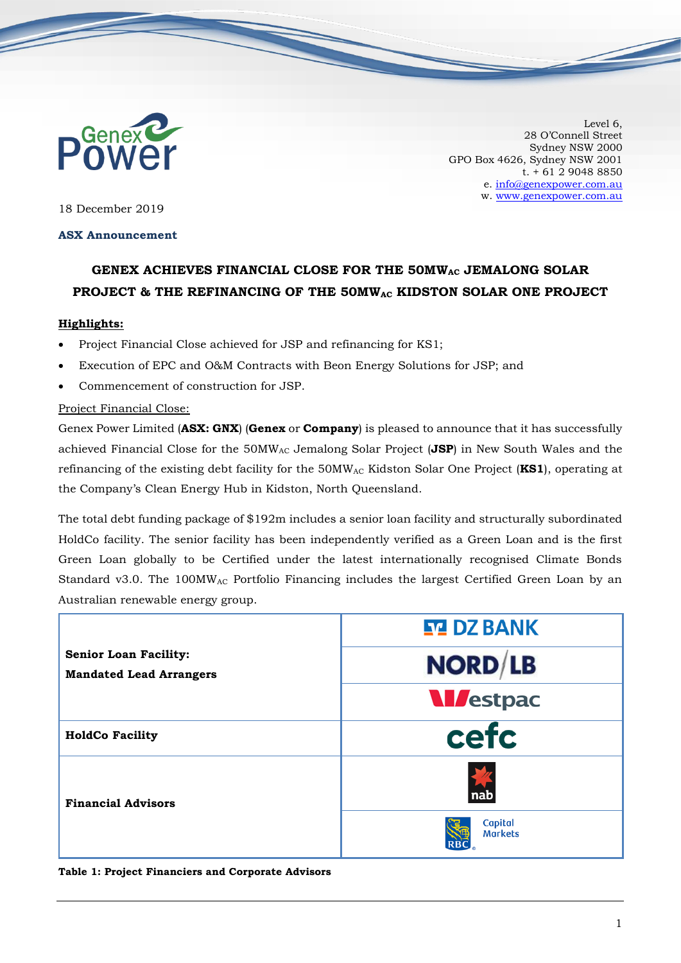

Level 6, 28 O'Connell Street Sydney NSW 2000 GPO Box 4626, Sydney NSW 2001 t. + 61 2 9048 8850 e. [info@genexpower.com.au](mailto:info@genexpower.com.au) w. [www.genexpower.com.au](http://www.genexpower.com.au/)

18 December 2019

## **ASX Announcement**

# **GENEX ACHIEVES FINANCIAL CLOSE FOR THE 50MWAC JEMALONG SOLAR PROJECT & THE REFINANCING OF THE 50MWAC KIDSTON SOLAR ONE PROJECT**

## **Highlights:**

- Project Financial Close achieved for JSP and refinancing for KS1;
- Execution of EPC and O&M Contracts with Beon Energy Solutions for JSP; and
- Commencement of construction for JSP.

## Project Financial Close:

Genex Power Limited (**ASX: GNX**) (**Genex** or **Company**) is pleased to announce that it has successfully achieved Financial Close for the 50MWAC Jemalong Solar Project (**JSP**) in New South Wales and the refinancing of the existing debt facility for the 50MWAC Kidston Solar One Project (**KS1**), operating at the Company's Clean Energy Hub in Kidston, North Queensland.

The total debt funding package of \$192m includes a senior loan facility and structurally subordinated HoldCo facility. The senior facility has been independently verified as a Green Loan and is the first Green Loan globally to be Certified under the latest internationally recognised Climate Bonds Standard v3.0. The 100MW<sub>AC</sub> Portfolio Financing includes the largest Certified Green Loan by an Australian renewable energy group.

| <b>Senior Loan Facility:</b><br><b>Mandated Lead Arrangers</b> | <b>STA DZ BANK</b>        |
|----------------------------------------------------------------|---------------------------|
|                                                                | <b>NORD/LB</b>            |
|                                                                | <b>M</b> estpac           |
| <b>HoldCo Facility</b>                                         | cefc                      |
| <b>Financial Advisors</b>                                      | nab                       |
|                                                                | Capital<br><b>Markets</b> |

#### **Table 1: Project Financiers and Corporate Advisors**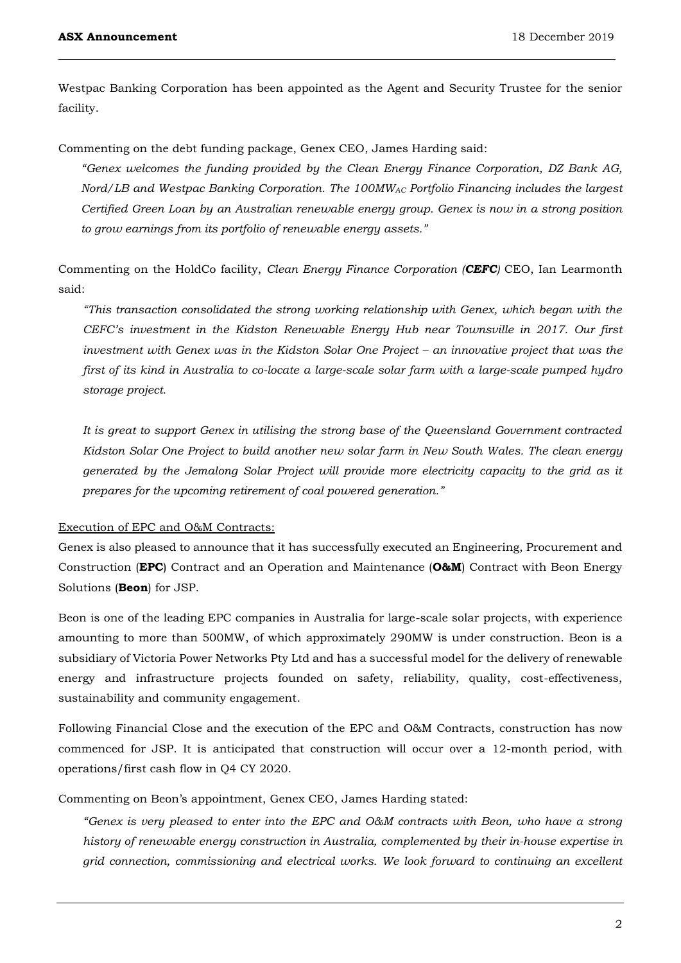Westpac Banking Corporation has been appointed as the Agent and Security Trustee for the senior facility.

Commenting on the debt funding package, Genex CEO, James Harding said:

*"Genex welcomes the funding provided by the Clean Energy Finance Corporation, DZ Bank AG, Nord/LB and Westpac Banking Corporation. The 100MWAC Portfolio Financing includes the largest Certified Green Loan by an Australian renewable energy group. Genex is now in a strong position to grow earnings from its portfolio of renewable energy assets."* 

Commenting on the HoldCo facility, *Clean Energy Finance Corporation (CEFC)* CEO, Ian Learmonth said:

*"This transaction consolidated the strong working relationship with Genex, which began with the CEFC's investment in the Kidston Renewable Energy Hub near Townsville in 2017. Our first investment with Genex was in the Kidston Solar One Project – an innovative project that was the first of its kind in Australia to co-locate a large-scale solar farm with a large-scale pumped hydro storage project.*

*It is great to support Genex in utilising the strong base of the Queensland Government contracted Kidston Solar One Project to build another new solar farm in New South Wales. The clean energy generated by the Jemalong Solar Project will provide more electricity capacity to the grid as it prepares for the upcoming retirement of coal powered generation."*

#### Execution of EPC and O&M Contracts:

Genex is also pleased to announce that it has successfully executed an Engineering, Procurement and Construction (**EPC**) Contract and an Operation and Maintenance (**O&M**) Contract with Beon Energy Solutions (**Beon**) for JSP.

Beon is one of the leading EPC companies in Australia for large-scale solar projects, with experience amounting to more than 500MW, of which approximately 290MW is under construction. Beon is a subsidiary of Victoria Power Networks Pty Ltd and has a successful model for the delivery of renewable energy and infrastructure projects founded on safety, reliability, quality, cost-effectiveness, sustainability and community engagement.

Following Financial Close and the execution of the EPC and O&M Contracts, construction has now commenced for JSP. It is anticipated that construction will occur over a 12-month period, with operations/first cash flow in Q4 CY 2020.

Commenting on Beon's appointment, Genex CEO, James Harding stated:

*"Genex is very pleased to enter into the EPC and O&M contracts with Beon, who have a strong history of renewable energy construction in Australia, complemented by their in-house expertise in grid connection, commissioning and electrical works. We look forward to continuing an excellent*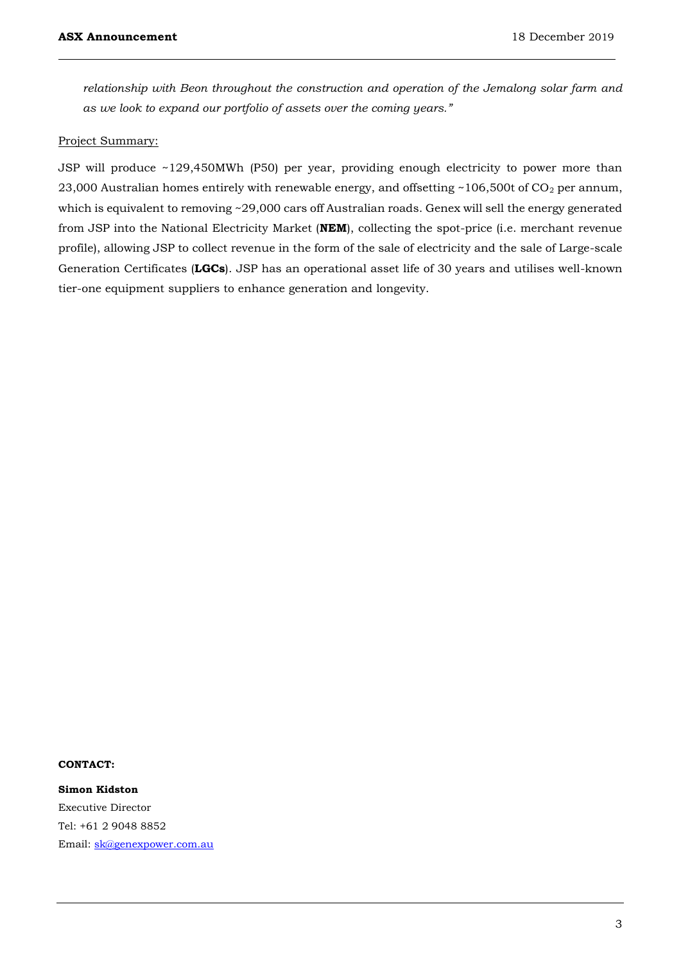*relationship with Beon throughout the construction and operation of the Jemalong solar farm and as we look to expand our portfolio of assets over the coming years."*

### Project Summary:

JSP will produce ~129,450MWh (P50) per year, providing enough electricity to power more than 23,000 Australian homes entirely with renewable energy, and offsetting  $\sim$ 106,500t of CO<sub>2</sub> per annum, which is equivalent to removing ~29,000 cars off Australian roads. Genex will sell the energy generated from JSP into the National Electricity Market (**NEM**), collecting the spot-price (i.e. merchant revenue profile), allowing JSP to collect revenue in the form of the sale of electricity and the sale of Large-scale Generation Certificates (**LGCs**). JSP has an operational asset life of 30 years and utilises well-known tier-one equipment suppliers to enhance generation and longevity.

## **CONTACT:**

**Simon Kidston** Executive Director Tel: +61 2 9048 8852 Email: [sk@genexpower.com.au](mailto:sk@genexpower.com.au)